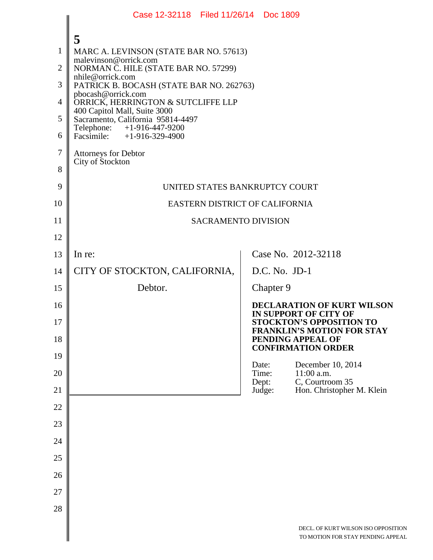|                                                                   | Case 12-32118 Filed 11/26/14 Doc 1809                                                                                                                                                                                                                                                                                                                                                                                          |                 |  |                                                                                                                                           |
|-------------------------------------------------------------------|--------------------------------------------------------------------------------------------------------------------------------------------------------------------------------------------------------------------------------------------------------------------------------------------------------------------------------------------------------------------------------------------------------------------------------|-----------------|--|-------------------------------------------------------------------------------------------------------------------------------------------|
| $\mathbf{1}$<br>$\overline{2}$<br>3<br>4<br>5<br>6<br>$\tau$<br>8 | 5<br>MARC A. LEVINSON (STATE BAR NO. 57613)<br>malevinson@orrick.com<br>NORMAN C. HILE (STATE BAR NO. 57299)<br>nhile@orrick.com<br>PATRICK B. BOCASH (STATE BAR NO. 262763)<br>pbocash@orrick.com<br>ORRICK, HERRINGTON & SUTCLIFFE LLP<br>400 Capitol Mall, Suite 3000<br>Sacramento, California 95814-4497<br>Telephone: +1-916-447-9200<br>Facsimile: $+1-916-329-4900$<br><b>Attorneys for Debtor</b><br>City of Stockton |                 |  |                                                                                                                                           |
| 9                                                                 | UNITED STATES BANKRUPTCY COURT                                                                                                                                                                                                                                                                                                                                                                                                 |                 |  |                                                                                                                                           |
| 10                                                                | EASTERN DISTRICT OF CALIFORNIA                                                                                                                                                                                                                                                                                                                                                                                                 |                 |  |                                                                                                                                           |
| 11                                                                | <b>SACRAMENTO DIVISION</b>                                                                                                                                                                                                                                                                                                                                                                                                     |                 |  |                                                                                                                                           |
| 12                                                                |                                                                                                                                                                                                                                                                                                                                                                                                                                |                 |  |                                                                                                                                           |
| 13                                                                | In re:                                                                                                                                                                                                                                                                                                                                                                                                                         |                 |  | Case No. 2012-32118                                                                                                                       |
| 14                                                                | CITY OF STOCKTON, CALIFORNIA,                                                                                                                                                                                                                                                                                                                                                                                                  | D.C. No. JD-1   |  |                                                                                                                                           |
| 15                                                                | Debtor.                                                                                                                                                                                                                                                                                                                                                                                                                        | Chapter 9       |  |                                                                                                                                           |
| 16<br>17                                                          |                                                                                                                                                                                                                                                                                                                                                                                                                                |                 |  | <b>DECLARATION OF KURT WILSON</b><br><b>IN SUPPORT OF CITY OF</b><br><b>STOCKTON'S OPPOSITION TO</b><br><b>FRANKLIN'S MOTION FOR STAY</b> |
| 18<br>19                                                          |                                                                                                                                                                                                                                                                                                                                                                                                                                |                 |  | PENDING APPEAL OF<br><b>CONFIRMATION ORDER</b>                                                                                            |
| 20                                                                |                                                                                                                                                                                                                                                                                                                                                                                                                                | Date:<br>Time:  |  | December 10, 2014<br>11:00 a.m.                                                                                                           |
| 21                                                                |                                                                                                                                                                                                                                                                                                                                                                                                                                | Dept:<br>Judge: |  | C, Courtroom 35<br>Hon. Christopher M. Klein                                                                                              |
| 22                                                                |                                                                                                                                                                                                                                                                                                                                                                                                                                |                 |  |                                                                                                                                           |
| 23                                                                |                                                                                                                                                                                                                                                                                                                                                                                                                                |                 |  |                                                                                                                                           |
| 24                                                                |                                                                                                                                                                                                                                                                                                                                                                                                                                |                 |  |                                                                                                                                           |
| 25                                                                |                                                                                                                                                                                                                                                                                                                                                                                                                                |                 |  |                                                                                                                                           |
| 26                                                                |                                                                                                                                                                                                                                                                                                                                                                                                                                |                 |  |                                                                                                                                           |
| 27                                                                |                                                                                                                                                                                                                                                                                                                                                                                                                                |                 |  |                                                                                                                                           |
| 28                                                                |                                                                                                                                                                                                                                                                                                                                                                                                                                |                 |  |                                                                                                                                           |
|                                                                   |                                                                                                                                                                                                                                                                                                                                                                                                                                |                 |  | DECL. OF KURT WILSON ISO OPPOSITION<br>TO MOTION FOR STAY PENDING APPEAL                                                                  |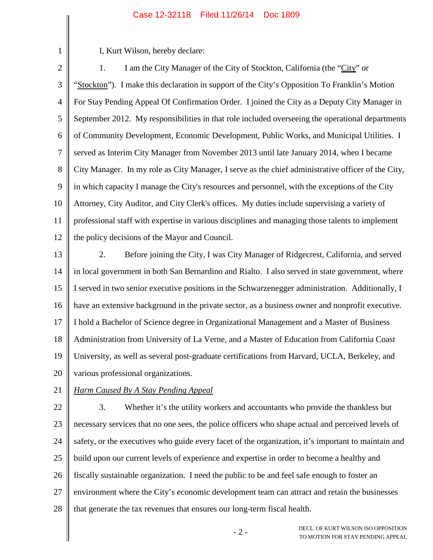I, Kurt Wilson, hereby declare:

1

2 3 4 5 6 7 8 9 10 11 12 1. I am the City Manager of the City of Stockton, California (the "City" or "Stockton"). I make this declaration in support of the City's Opposition To Franklin's Motion For Stay Pending Appeal Of Confirmation Order. I joined the City as a Deputy City Manager in September 2012. My responsibilities in that role included overseeing the operational departments of Community Development, Economic Development, Public Works, and Municipal Utilities. I served as Interim City Manager from November 2013 until late January 2014, when I became City Manager. In my role as City Manager, I serve as the chief administrative officer of the City, in which capacity I manage the City's resources and personnel, with the exceptions of the City Attorney, City Auditor, and City Clerk's offices. My duties include supervising a variety of professional staff with expertise in various disciplines and managing those talents to implement the policy decisions of the Mayor and Council.

13 14 15 16 17 18 19 20 2. Before joining the City, I was City Manager of Ridgecrest, California, and served in local government in both San Bernardino and Rialto. I also served in state government, where I served in two senior executive positions in the Schwarzenegger administration. Additionally, I have an extensive background in the private sector, as a business owner and nonprofit executive. I hold a Bachelor of Science degree in Organizational Management and a Master of Business Administration from University of La Verne, and a Master of Education from California Coast University, as well as several post-graduate certifications from Harvard, UCLA, Berkeley, and various professional organizations.

21 *Harm Caused By A Stay Pending Appeal*

22 23 24 25 26 27 28 3. Whether it's the utility workers and accountants who provide the thankless but necessary services that no one sees, the police officers who shape actual and perceived levels of safety, or the executives who guide every facet of the organization, it's important to maintain and build upon our current levels of experience and expertise in order to become a healthy and fiscally sustainable organization. I need the public to be and feel safe enough to foster an environment where the City's economic development team can attract and retain the businesses that generate the tax revenues that ensures our long-term fiscal health.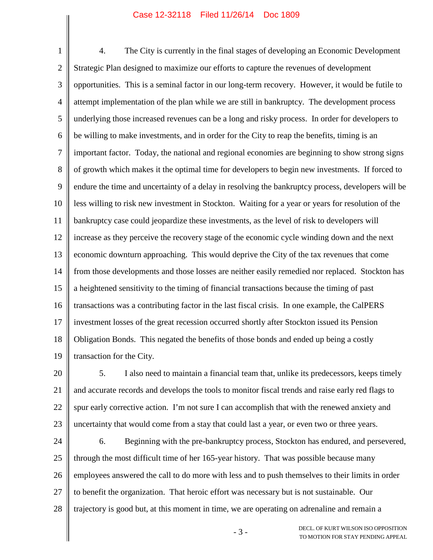1 2 3 4 5 6 7 8 9 10 11 12 13 14 15 16 17 18 19 4. The City is currently in the final stages of developing an Economic Development Strategic Plan designed to maximize our efforts to capture the revenues of development opportunities. This is a seminal factor in our long-term recovery. However, it would be futile to attempt implementation of the plan while we are still in bankruptcy. The development process underlying those increased revenues can be a long and risky process. In order for developers to be willing to make investments, and in order for the City to reap the benefits, timing is an important factor. Today, the national and regional economies are beginning to show strong signs of growth which makes it the optimal time for developers to begin new investments. If forced to endure the time and uncertainty of a delay in resolving the bankruptcy process, developers will be less willing to risk new investment in Stockton. Waiting for a year or years for resolution of the bankruptcy case could jeopardize these investments, as the level of risk to developers will increase as they perceive the recovery stage of the economic cycle winding down and the next economic downturn approaching. This would deprive the City of the tax revenues that come from those developments and those losses are neither easily remedied nor replaced. Stockton has a heightened sensitivity to the timing of financial transactions because the timing of past transactions was a contributing factor in the last fiscal crisis. In one example, the CalPERS investment losses of the great recession occurred shortly after Stockton issued its Pension Obligation Bonds. This negated the benefits of those bonds and ended up being a costly transaction for the City.

20 21 22 23 5. I also need to maintain a financial team that, unlike its predecessors, keeps timely and accurate records and develops the tools to monitor fiscal trends and raise early red flags to spur early corrective action. I'm not sure I can accomplish that with the renewed anxiety and uncertainty that would come from a stay that could last a year, or even two or three years.

24 25 26 27 28 6. Beginning with the pre-bankruptcy process, Stockton has endured, and persevered, through the most difficult time of her 165-year history. That was possible because many employees answered the call to do more with less and to push themselves to their limits in order to benefit the organization. That heroic effort was necessary but is not sustainable. Our trajectory is good but, at this moment in time, we are operating on adrenaline and remain a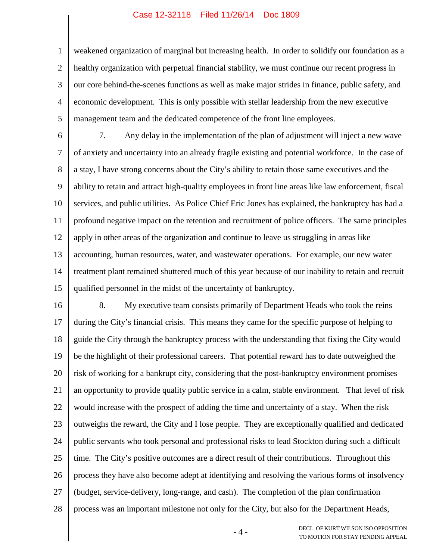1

2 3 4 5 weakened organization of marginal but increasing health. In order to solidify our foundation as a healthy organization with perpetual financial stability, we must continue our recent progress in our core behind-the-scenes functions as well as make major strides in finance, public safety, and economic development. This is only possible with stellar leadership from the new executive management team and the dedicated competence of the front line employees.

6 7 8 9 10 11 12 13 14 15 7. Any delay in the implementation of the plan of adjustment will inject a new wave of anxiety and uncertainty into an already fragile existing and potential workforce. In the case of a stay, I have strong concerns about the City's ability to retain those same executives and the ability to retain and attract high-quality employees in front line areas like law enforcement, fiscal services, and public utilities. As Police Chief Eric Jones has explained, the bankruptcy has had a profound negative impact on the retention and recruitment of police officers. The same principles apply in other areas of the organization and continue to leave us struggling in areas like accounting, human resources, water, and wastewater operations. For example, our new water treatment plant remained shuttered much of this year because of our inability to retain and recruit qualified personnel in the midst of the uncertainty of bankruptcy.

16 17 18 19 20 21 22 23 24 25 26 27 28 8. My executive team consists primarily of Department Heads who took the reins during the City's financial crisis. This means they came for the specific purpose of helping to guide the City through the bankruptcy process with the understanding that fixing the City would be the highlight of their professional careers. That potential reward has to date outweighed the risk of working for a bankrupt city, considering that the post-bankruptcy environment promises an opportunity to provide quality public service in a calm, stable environment. That level of risk would increase with the prospect of adding the time and uncertainty of a stay. When the risk outweighs the reward, the City and I lose people. They are exceptionally qualified and dedicated public servants who took personal and professional risks to lead Stockton during such a difficult time. The City's positive outcomes are a direct result of their contributions. Throughout this process they have also become adept at identifying and resolving the various forms of insolvency (budget, service-delivery, long-range, and cash). The completion of the plan confirmation process was an important milestone not only for the City, but also for the Department Heads,